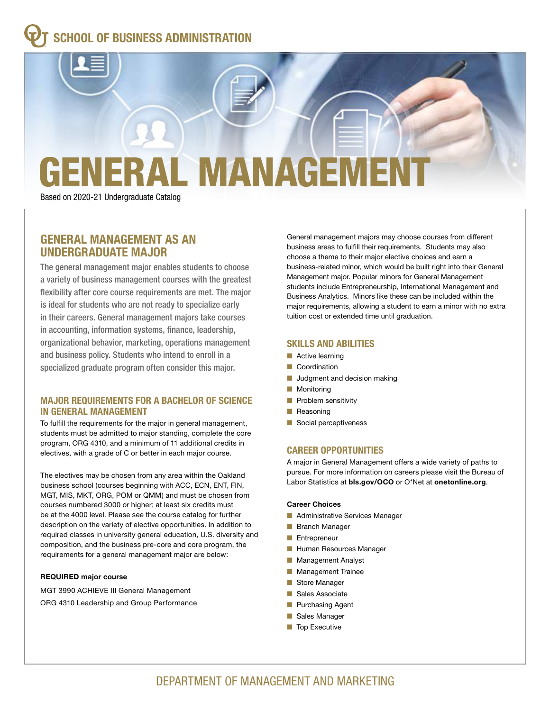### **SCHOOL OF BUSINESS ADMINISTRATION**

# ERAL MANAGEME

Based on 2020-21 Undergraduate Catalog

#### **GENERAL MANAGEMENT AS AN UNDERGRADUATE MAJOR**

The general management major enables students to choose a variety of business management courses with the greatest flexibility after core course requirements are met. The major is ideal for students who are not ready to specialize early in their careers. General management majors take courses in accounting, information systems, finance, leadership, organizational behavior, marketing, operations management and business policy. Students who intend to enroll in a specialized graduate program often consider this major.

#### **MAJOR REQUIREMENTS FOR A BACHELOR OF SCIENCE IN GENERAL MANAGEMENT**

To fulfill the requirements for the major in general management, students must be admitted to major standing, complete the core program, ORG 4310, and a minimum of 11 additional credits in electives, with a grade of C or better in each major course.

The electives may be chosen from any area within the Oakland business school (courses beginning with ACC, ECN, ENT, FIN, MGT, MIS, MKT, ORG, POM or QMM) and must be chosen from courses numbered 3000 or higher; at least six credits must be at the 4000 level. Please see the course catalog for further description on the variety of elective opportunities. In addition to required classes in university general education, U.S. diversity and composition, and the business pre-core and core program, the requirements for a general management major are below:

#### **REQUIRED major course**

MGT 3990 ACHIEVE III General Management ORG 4310 Leadership and Group Performance

General management majors may choose courses from different business areas to fulfill their requirements. Students may also choose a theme to their major elective choices and earn a business-related minor, which would be built right into their General Management major. Popular minors for General Management students include Entrepreneurship, International Management and Business Analytics. Minors like these can be included within the major requirements, allowing a student to earn a minor with no extra tuition cost or extended time until graduation.

#### **SKILLS AND ABILITIES**

- $\blacksquare$  Active learning
- **n** Coordination
- **n** Judgment and decision making
- **Nonitoring**
- $\blacksquare$  Problem sensitivity
- $\blacksquare$  Reasoning
- Social perceptiveness

#### **CAREER OPPORTUNITIES**

A major in General Management offers a wide variety of paths to pursue. For more information on careers please visit the Bureau of Labor Statistics at **bls.gov/OCO** or O\*Net at **onetonline.org**.

#### **Career Choices**

- **n** Administrative Services Manager
- **Branch Manager**
- **n** Entrepreneur
- **Human Resources Manager**
- **n** Management Analyst
- **n** Management Trainee
- Store Manager
- Sales Associate
- **n** Purchasing Agent
- Sales Manager
- $\blacksquare$  Top Executive